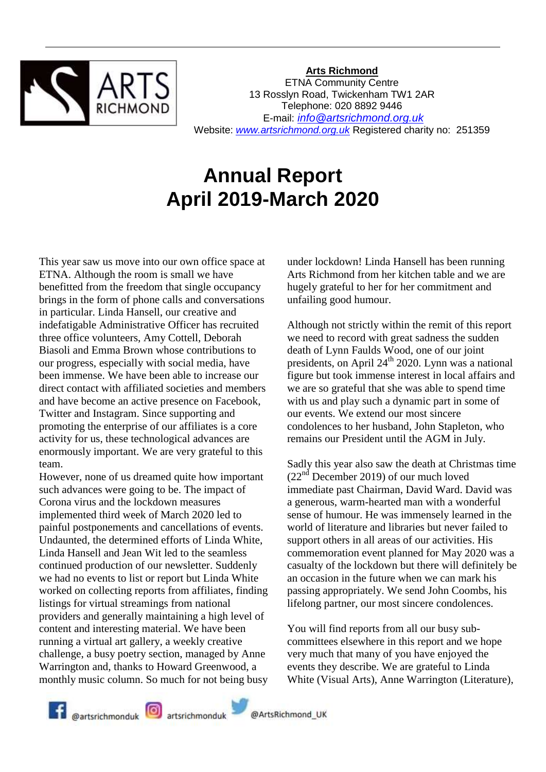

**Arts Richmond**

ETNA Community Centre 13 Rosslyn Road, Twickenham TW1 2AR Telephone: 020 8892 9446 E-mail: *[info@artsrichmond.org.uk](mailto:info@artsrichmond.org.uk)* Website: *[www.artsrichmond.org.uk](http://www.artsrichmond.org.uk/)* Registered charity no: 251359

# **Annual Report April 2019-March 2020**

This year saw us move into our own office space at ETNA. Although the room is small we have benefitted from the freedom that single occupancy brings in the form of phone calls and conversations in particular. Linda Hansell, our creative and indefatigable Administrative Officer has recruited three office volunteers, Amy Cottell, Deborah Biasoli and Emma Brown whose contributions to our progress, especially with social media, have been immense. We have been able to increase our direct contact with affiliated societies and members and have become an active presence on Facebook, Twitter and Instagram. Since supporting and promoting the enterprise of our affiliates is a core activity for us, these technological advances are enormously important. We are very grateful to this team.

However, none of us dreamed quite how important such advances were going to be. The impact of Corona virus and the lockdown measures implemented third week of March 2020 led to painful postponements and cancellations of events. Undaunted, the determined efforts of Linda White, Linda Hansell and Jean Wit led to the seamless continued production of our newsletter. Suddenly we had no events to list or report but Linda White worked on collecting reports from affiliates, finding listings for virtual streamings from national providers and generally maintaining a high level of content and interesting material. We have been running a virtual art gallery, a weekly creative challenge, a busy poetry section, managed by Anne Warrington and, thanks to Howard Greenwood, a monthly music column. So much for not being busy

under lockdown! Linda Hansell has been running Arts Richmond from her kitchen table and we are hugely grateful to her for her commitment and unfailing good humour.

Although not strictly within the remit of this report we need to record with great sadness the sudden death of Lynn Faulds Wood, one of our joint presidents, on April  $24<sup>th</sup>$  2020. Lynn was a national figure but took immense interest in local affairs and we are so grateful that she was able to spend time with us and play such a dynamic part in some of our events. We extend our most sincere condolences to her husband, John Stapleton, who remains our President until the AGM in July.

Sadly this year also saw the death at Christmas time (22nd December 2019) of our much loved immediate past Chairman, David Ward. David was a generous, warm-hearted man with a wonderful sense of humour. He was immensely learned in the world of literature and libraries but never failed to support others in all areas of our activities. His commemoration event planned for May 2020 was a casualty of the lockdown but there will definitely be an occasion in the future when we can mark his passing appropriately. We send John Coombs, his lifelong partner, our most sincere condolences.

You will find reports from all our busy subcommittees elsewhere in this report and we hope very much that many of you have enjoyed the events they describe. We are grateful to Linda White (Visual Arts), Anne Warrington (Literature),

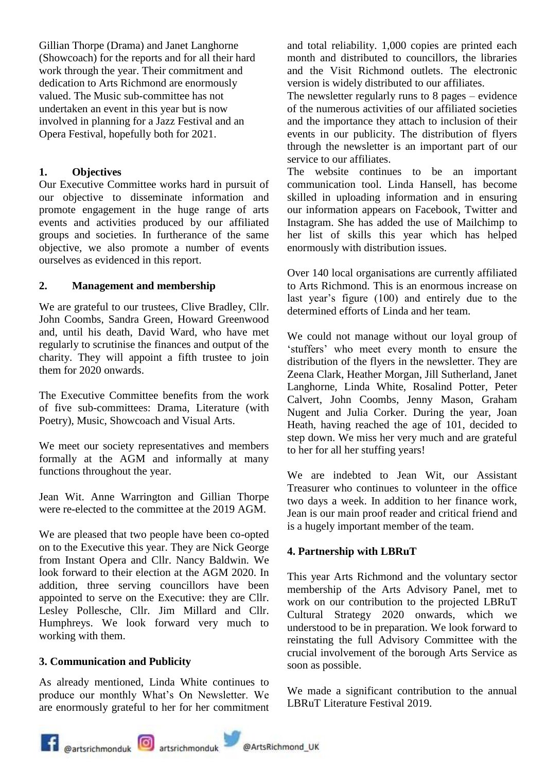Gillian Thorpe (Drama) and Janet Langhorne (Showcoach) for the reports and for all their hard work through the year. Their commitment and dedication to Arts Richmond are enormously valued. The Music sub-committee has not undertaken an event in this year but is now involved in planning for a Jazz Festival and an Opera Festival, hopefully both for 2021.

#### **1. Objectives**

Our Executive Committee works hard in pursuit of our objective to disseminate information and promote engagement in the huge range of arts events and activities produced by our affiliated groups and societies. In furtherance of the same objective, we also promote a number of events ourselves as evidenced in this report.

#### **2. Management and membership**

We are grateful to our trustees, Clive Bradley, Cllr. John Coombs, Sandra Green, Howard Greenwood and, until his death, David Ward, who have met regularly to scrutinise the finances and output of the charity. They will appoint a fifth trustee to join them for 2020 onwards.

The Executive Committee benefits from the work of five sub-committees: Drama, Literature (with Poetry), Music, Showcoach and Visual Arts.

We meet our society representatives and members formally at the AGM and informally at many functions throughout the year.

Jean Wit. Anne Warrington and Gillian Thorpe were re-elected to the committee at the 2019 AGM.

We are pleased that two people have been co-opted on to the Executive this year. They are Nick George from Instant Opera and Cllr. Nancy Baldwin. We look forward to their election at the AGM 2020. In addition, three serving councillors have been appointed to serve on the Executive: they are Cllr. Lesley Pollesche, Cllr. Jim Millard and Cllr. Humphreys. We look forward very much to working with them.

#### **3. Communication and Publicity**

As already mentioned, Linda White continues to produce our monthly What's On Newsletter. We are enormously grateful to her for her commitment

and total reliability. 1,000 copies are printed each month and distributed to councillors, the libraries and the Visit Richmond outlets. The electronic version is widely distributed to our affiliates.

The newsletter regularly runs to 8 pages – evidence of the numerous activities of our affiliated societies and the importance they attach to inclusion of their events in our publicity. The distribution of flyers through the newsletter is an important part of our service to our affiliates.

The website continues to be an important communication tool. Linda Hansell, has become skilled in uploading information and in ensuring our information appears on Facebook, Twitter and Instagram. She has added the use of Mailchimp to her list of skills this year which has helped enormously with distribution issues.

Over 140 local organisations are currently affiliated to Arts Richmond. This is an enormous increase on last year's figure (100) and entirely due to the determined efforts of Linda and her team.

We could not manage without our loyal group of 'stuffers' who meet every month to ensure the distribution of the flyers in the newsletter. They are Zeena Clark, Heather Morgan, Jill Sutherland, Janet Langhorne, Linda White, Rosalind Potter, Peter Calvert, John Coombs, Jenny Mason, Graham Nugent and Julia Corker. During the year, Joan Heath, having reached the age of 101, decided to step down. We miss her very much and are grateful to her for all her stuffing years!

We are indebted to Jean Wit, our Assistant Treasurer who continues to volunteer in the office two days a week. In addition to her finance work, Jean is our main proof reader and critical friend and is a hugely important member of the team.

#### **4. Partnership with LBRuT**

This year Arts Richmond and the voluntary sector membership of the Arts Advisory Panel, met to work on our contribution to the projected LBRuT Cultural Strategy 2020 onwards, which we understood to be in preparation. We look forward to reinstating the full Advisory Committee with the crucial involvement of the borough Arts Service as soon as possible.

We made a significant contribution to the annual LBRuT Literature Festival 2019.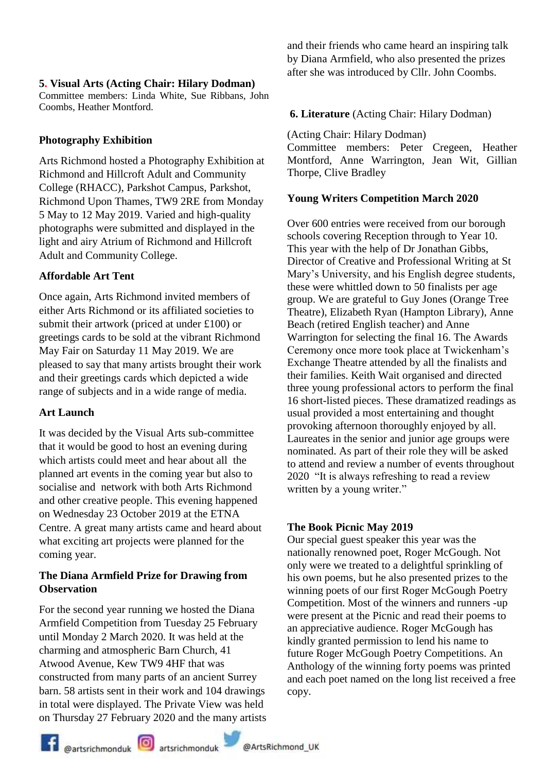#### **5. Visual Arts (Acting Chair: Hilary Dodman)**

Committee members: Linda White, Sue Ribbans, John Coombs, Heather Montford.

# **Photography Exhibition**

Arts Richmond hosted a Photography Exhibition at Richmond and Hillcroft Adult and Community College (RHACC), Parkshot Campus, Parkshot, Richmond Upon Thames, TW9 2RE from Monday 5 May to 12 May 2019. Varied and high-quality photographs were submitted and displayed in the light and airy Atrium of Richmond and Hillcroft Adult and Community College.

# **Affordable Art Tent**

Once again, Arts Richmond invited members of either Arts Richmond or its affiliated societies to submit their artwork (priced at under £100) or greetings cards to be sold at the vibrant Richmond May Fair on Saturday 11 May 2019. We are pleased to say that many artists brought their work and their greetings cards which depicted a wide range of subjects and in a wide range of media.

# **Art Launch**

It was decided by the Visual Arts sub-committee that it would be good to host an evening during which artists could meet and hear about all the planned art events in the coming year but also to socialise and network with both Arts Richmond and other creative people. This evening happened on Wednesday 23 October 2019 at the ETNA Centre. A great many artists came and heard about what exciting art projects were planned for the coming year.

# **The Diana Armfield Prize for Drawing from Observation**

For the second year running we hosted the Diana Armfield Competition from Tuesday 25 February until Monday 2 March 2020. It was held at the charming and atmospheric Barn Church, 41 Atwood Avenue, Kew TW9 4HF that was constructed from many parts of an ancient Surrey barn. 58 artists sent in their work and 104 drawings in total were displayed. The Private View was held on Thursday 27 February 2020 and the many artists and their friends who came heard an inspiring talk by Diana Armfield, who also presented the prizes after she was introduced by Cllr. John Coombs.

# **6. Literature** (Acting Chair: Hilary Dodman)

(Acting Chair: Hilary Dodman) Committee members: Peter Cregeen, Heather Montford, Anne Warrington, Jean Wit, Gillian Thorpe, Clive Bradley

# **Young Writers Competition March 2020**

Over 600 entries were received from our borough schools covering Reception through to Year 10. This year with the help of Dr Jonathan Gibbs, Director of Creative and Professional Writing at St Mary's University, and his English degree students, these were whittled down to 50 finalists per age group. We are grateful to Guy Jones (Orange Tree Theatre), Elizabeth Ryan (Hampton Library), Anne Beach (retired English teacher) and Anne Warrington for selecting the final 16. The Awards Ceremony once more took place at Twickenham's Exchange Theatre attended by all the finalists and their families. Keith Wait organised and directed three young professional actors to perform the final 16 short-listed pieces. These dramatized readings as usual provided a most entertaining and thought provoking afternoon thoroughly enjoyed by all. Laureates in the senior and junior age groups were nominated. As part of their role they will be asked to attend and review a number of events throughout 2020 "It is always refreshing to read a review written by a young writer."

# **The Book Picnic May 2019**

Our special guest speaker this year was the nationally renowned poet, Roger McGough. Not only were we treated to a delightful sprinkling of his own poems, but he also presented prizes to the winning poets of our first Roger McGough Poetry Competition. Most of the winners and runners -up were present at the Picnic and read their poems to an appreciative audience. Roger McGough has kindly granted permission to lend his name to future Roger McGough Poetry Competitions. An Anthology of the winning forty poems was printed and each poet named on the long list received a free copy.

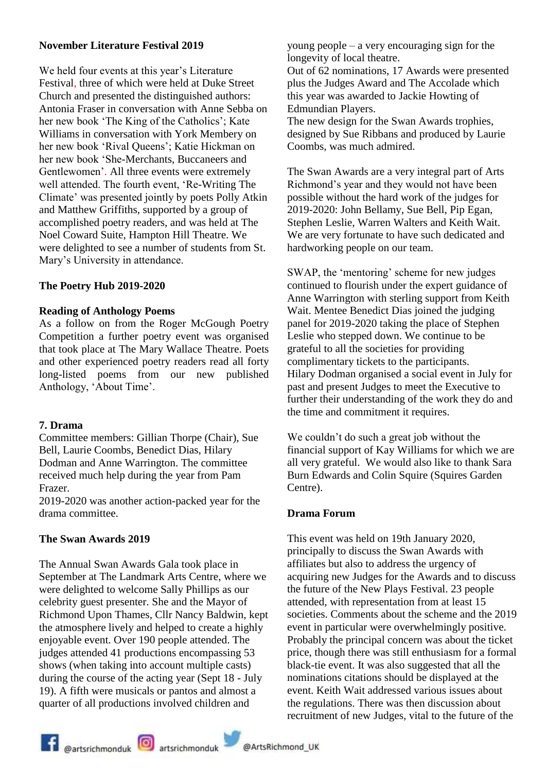#### **November Literature Festival 2019**

We held four events at this year's Literature Festival, three of which were held at Duke Street Church and presented the distinguished authors: Antonia Fraser in conversation with Anne Sebba on her new book 'The King of the Catholics'; Kate Williams in conversation with York Membery on her new book 'Rival Queens'; Katie Hickman on her new book 'She-Merchants, Buccaneers and Gentlewomen'. All three events were extremely well attended. The fourth event, 'Re-Writing The Climate' was presented jointly by poets Polly Atkin and Matthew Griffiths, supported by a group of accomplished poetry readers, and was held at The Noel Coward Suite, Hampton Hill Theatre. We were delighted to see a number of students from St. Mary's University in attendance.

#### **The Poetry Hub 2019-2020**

#### **Reading of Anthology Poems**

As a follow on from the Roger McGough Poetry Competition a further poetry event was organised that took place at The Mary Wallace Theatre. Poets and other experienced poetry readers read all forty long-listed poems from our new published Anthology, 'About Time'.

#### **7. Drama**

Committee members: Gillian Thorpe (Chair), Sue Bell, Laurie Coombs, Benedict Dias, Hilary Dodman and Anne Warrington. The committee received much help during the year from Pam Frazer.

2019-2020 was another action-packed year for the drama committee.

# **The Swan Awards 2019**

The Annual Swan Awards Gala took place in September at The Landmark Arts Centre, where we were delighted to welcome Sally Phillips as our celebrity guest presenter. She and the Mayor of Richmond Upon Thames, Cllr Nancy Baldwin, kept the atmosphere lively and helped to create a highly enjoyable event. Over 190 people attended. The judges attended 41 productions encompassing 53 shows (when taking into account multiple casts) during the course of the acting year (Sept 18 - July 19). A fifth were musicals or pantos and almost a quarter of all productions involved children and

young people – a very encouraging sign for the longevity of local theatre.

Out of 62 nominations, 17 Awards were presented plus the Judges Award and The Accolade which this year was awarded to Jackie Howting of Edmundian Players.

The new design for the Swan Awards trophies, designed by Sue Ribbans and produced by Laurie Coombs, was much admired.

The Swan Awards are a very integral part of Arts Richmond's year and they would not have been possible without the hard work of the judges for 2019-2020: John Bellamy, Sue Bell, Pip Egan, Stephen Leslie, Warren Walters and Keith Wait. We are very fortunate to have such dedicated and hardworking people on our team.

SWAP, the 'mentoring' scheme for new judges continued to flourish under the expert guidance of Anne Warrington with sterling support from Keith Wait. Mentee Benedict Dias joined the judging panel for 2019-2020 taking the place of Stephen Leslie who stepped down. We continue to be grateful to all the societies for providing complimentary tickets to the participants. Hilary Dodman organised a social event in July for past and present Judges to meet the Executive to further their understanding of the work they do and the time and commitment it requires.

We couldn't do such a great job without the financial support of Kay Williams for which we are all very grateful. We would also like to thank Sara Burn Edwards and Colin Squire (Squires Garden Centre).

#### **Drama Forum**

This event was held on 19th January 2020, principally to discuss the Swan Awards with affiliates but also to address the urgency of acquiring new Judges for the Awards and to discuss the future of the New Plays Festival. 23 people attended, with representation from at least 15 societies. Comments about the scheme and the 2019 event in particular were overwhelmingly positive. Probably the principal concern was about the ticket price, though there was still enthusiasm for a formal black-tie event. It was also suggested that all the nominations citations should be displayed at the event. Keith Wait addressed various issues about the regulations. There was then discussion about recruitment of new Judges, vital to the future of the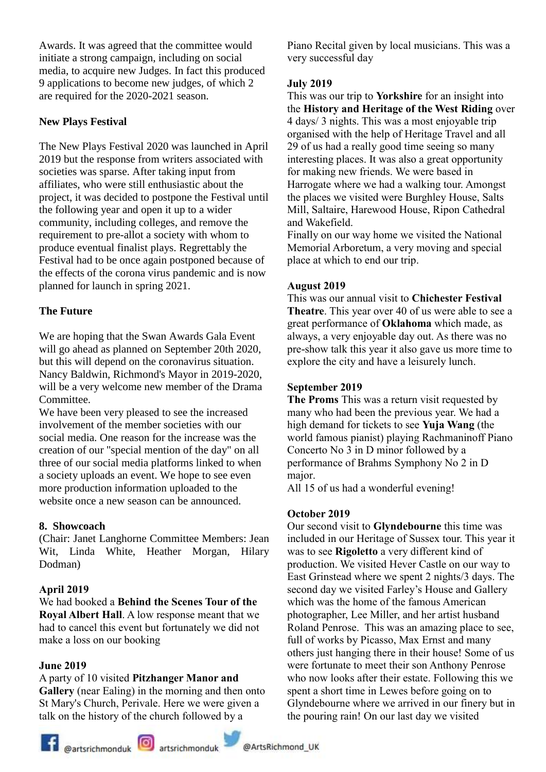Awards. It was agreed that the committee would initiate a strong campaign, including on social media, to acquire new Judges. In fact this produced 9 applications to become new judges, of which 2 are required for the 2020-2021 season.

# **New Plays Festival**

The New Plays Festival 2020 was launched in April 2019 but the response from writers associated with societies was sparse. After taking input from affiliates, who were still enthusiastic about the project, it was decided to postpone the Festival until the following year and open it up to a wider community, including colleges, and remove the requirement to pre-allot a society with whom to produce eventual finalist plays. Regrettably the Festival had to be once again postponed because of the effects of the corona virus pandemic and is now planned for launch in spring 2021.

# **The Future**

We are hoping that the Swan Awards Gala Event will go ahead as planned on September 20th 2020, but this will depend on the coronavirus situation. Nancy Baldwin, Richmond's Mayor in 2019-2020, will be a very welcome new member of the Drama Committee.

We have been very pleased to see the increased involvement of the member societies with our social media. One reason for the increase was the creation of our "special mention of the day" on all three of our social media platforms linked to when a society uploads an event. We hope to see even more production information uploaded to the website once a new season can be announced.

# **8. Showcoach**

(Chair: Janet Langhorne Committee Members: Jean Wit, Linda White, Heather Morgan, Hilary Dodman)

# **April 2019**

We had booked a **Behind the Scenes Tour of the Royal Albert Hall**. A low response meant that we had to cancel this event but fortunately we did not make a loss on our booking

#### **June 2019**

#### A party of 10 visited **Pitzhanger Manor and**

**Gallery** (near Ealing) in the morning and then onto St Mary's Church, Perivale. Here we were given a talk on the history of the church followed by a

Piano Recital given by local musicians. This was a very successful day

#### **July 2019**

This was our trip to **Yorkshire** for an insight into the **History and Heritage of the West Riding** over 4 days/ 3 nights. This was a most enjoyable trip organised with the help of Heritage Travel and all 29 of us had a really good time seeing so many interesting places. It was also a great opportunity for making new friends. We were based in Harrogate where we had a walking tour. Amongst the places we visited were Burghley House, Salts Mill, Saltaire, Harewood House, Ripon Cathedral and Wakefield.

Finally on our way home we visited the National Memorial Arboretum, a very moving and special place at which to end our trip.

#### **August 2019**

This was our annual visit to **Chichester Festival Theatre**. This year over 40 of us were able to see a great performance of **Oklahoma** which made, as always, a very enjoyable day out. As there was no pre-show talk this year it also gave us more time to explore the city and have a leisurely lunch.

#### **September 2019**

**The Proms** This was a return visit requested by many who had been the previous year. We had a high demand for tickets to see **Yuja Wang** (the world famous pianist) playing Rachmaninoff Piano Concerto No 3 in D minor followed by a performance of Brahms Symphony No 2 in D major.

All 15 of us had a wonderful evening!

#### **October 2019**

Our second visit to **Glyndebourne** this time was included in our Heritage of Sussex tour. This year it was to see **Rigoletto** a very different kind of production. We visited Hever Castle on our way to East Grinstead where we spent 2 nights/3 days. The second day we visited Farley's House and Gallery which was the home of the famous American photographer, Lee Miller, and her artist husband Roland Penrose. This was an amazing place to see, full of works by Picasso, Max Ernst and many others just hanging there in their house! Some of us were fortunate to meet their son Anthony Penrose who now looks after their estate. Following this we spent a short time in Lewes before going on to Glyndebourne where we arrived in our finery but in the pouring rain! On our last day we visited

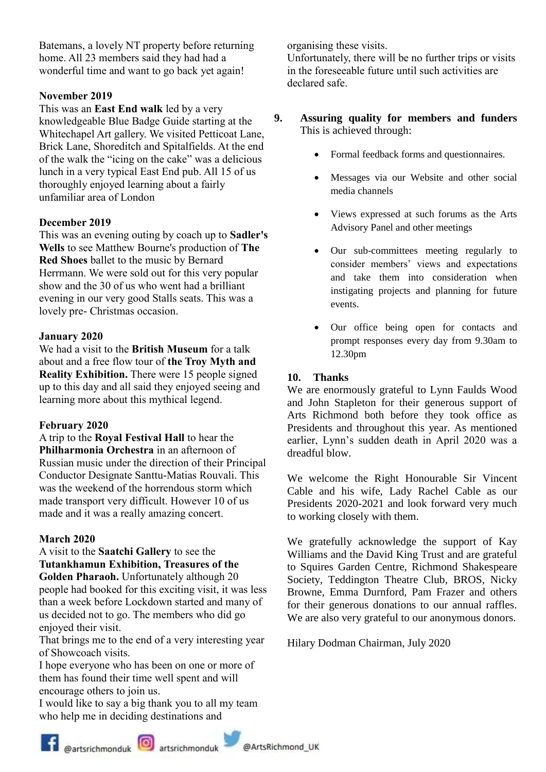Batemans, a lovely NT property before returning home. All 23 members said they had had a wonderful time and want to go back yet again!

#### **November 2019**

This was an **East End walk** led by a very knowledgeable Blue Badge Guide starting at the Whitechapel Art gallery. We visited Petticoat Lane, Brick Lane, Shoreditch and Spitalfields. At the end of the walk the "icing on the cake" was a delicious lunch in a very typical East End pub. All 15 of us thoroughly enjoyed learning about a fairly unfamiliar area of London

#### **December 2019**

This was an evening outing by coach up to **Sadler's Wells** to see Matthew Bourne's production of **The Red Shoes** ballet to the music by Bernard Herrmann. We were sold out for this very popular show and the 30 of us who went had a brilliant evening in our very good Stalls seats. This was a lovely pre- Christmas occasion.

#### **January 2020**

We had a visit to the **British Museum** for a talk about and a free flow tour of **the Troy Myth and Reality Exhibition.** There were 15 people signed up to this day and all said they enjoyed seeing and learning more about this mythical legend.

#### **February 2020**

A trip to the **Royal Festival Hall** to hear the **Philharmonia Orchestra** in an afternoon of Russian music under the direction of their Principal Conductor Designate Santtu-Matias Rouvali. This was the weekend of the horrendous storm which made transport very difficult. However 10 of us made and it was a really amazing concert.

# **March 2020**

#### A visit to the **Saatchi Gallery** to see the **Tutankhamun Exhibition, Treasures of the Golden Pharaoh.** Unfortunately although 20

people had booked for this exciting visit, it was less than a week before Lockdown started and many of us decided not to go. The members who did go enjoyed their visit.

That brings me to the end of a very interesting year of Showcoach visits.

I hope everyone who has been on one or more of them has found their time well spent and will encourage others to join us.

I would like to say a big thank you to all my team who help me in deciding destinations and

organising these visits.

Unfortunately, there will be no further trips or visits in the foreseeable future until such activities are declared safe.

#### **9. Assuring quality for members and funders** This is achieved through:

- Formal feedback forms and questionnaires.
- Messages via our Website and other social media channels
- Views expressed at such forums as the Arts Advisory Panel and other meetings
- Our sub-committees meeting regularly to consider members' views and expectations and take them into consideration when instigating projects and planning for future events.
- Our office being open for contacts and prompt responses every day from 9.30am to 12.30pm

#### **10. Thanks**

We are enormously grateful to Lynn Faulds Wood and John Stapleton for their generous support of Arts Richmond both before they took office as Presidents and throughout this year. As mentioned earlier, Lynn's sudden death in April 2020 was a dreadful blow.

We welcome the Right Honourable Sir Vincent Cable and his wife, Lady Rachel Cable as our Presidents 2020-2021 and look forward very much to working closely with them.

We gratefully acknowledge the support of Kay Williams and the David King Trust and are grateful to Squires Garden Centre, Richmond Shakespeare Society, Teddington Theatre Club, BROS, Nicky Browne, Emma Durnford, Pam Frazer and others for their generous donations to our annual raffles. We are also very grateful to our anonymous donors.

Hilary Dodman Chairman, July 2020